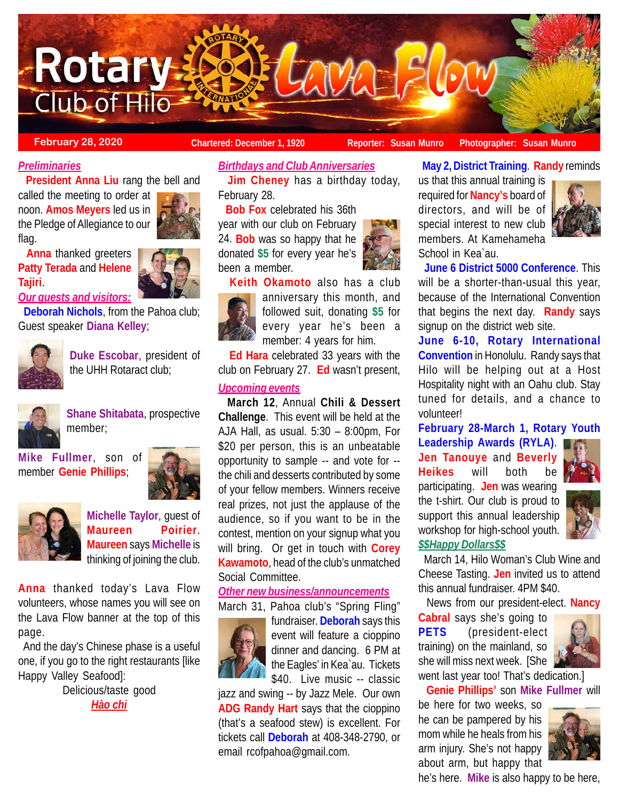

**February 28, 2020 Chartered: December 1, 1920** Reporter: Susan Munro Photographer: Susan Munro

# *Preliminaries*

**President Anna Liu** rang the bell and

called the meeting to order at noon. **Amos Meyers** led us in the Pledge of Allegiance to our flag.



 **Anna** thanked greeters **Patty Terada** and **Helene Tajiri**.

*Our guests and visitors:* **Deborah Nichols**, from the Pahoa club;

Guest speaker **Diana Kelley**;



**Duke Escobar**, president of the UHH Rotaract club;



**Shane Shitabata**, prospective member;

**Mike Fullmer**, son of member **Genie Phillips**;





**Michelle Taylor**, guest of **Maureen Poirier**. **Maureen** says **Michelle** is thinking of joining the club.

**Anna** thanked today's Lava Flow volunteers, whose names you will see on the Lava Flow banner at the top of this page.

 And the day's Chinese phase is a useful one, if you go to the right restaurants [like Happy Valley Seafood]:

> Delicious/taste good *Hào chi*

## *Birthdays and Club Anniversaries*

 **Jim Cheney** has a birthday today, February 28.

 **Bob Fox** celebrated his 36th year with our club on February 24. **Bob** was so happy that he donated **\$5** for every year he's been a member.

 **Keith Okamoto** also has a club anniversary this month, and followed suit, donating **\$5** for every year he's been a member: 4 years for him.

 **Ed Hara** celebrated 33 years with the club on February 27. **Ed** wasn't present,

# *Upcoming events*

 **March 12**, Annual **Chili & Dessert Challenge**. This event will be held at the AJA Hall, as usual. 5:30 – 8:00pm, For \$20 per person, this is an unbeatable opportunity to sample -- and vote for - the chili and desserts contributed by some of your fellow members. Winners receive real prizes, not just the applause of the audience, so if you want to be in the contest, mention on your signup what you will bring. Or get in touch with **Corey Kawamoto**, head of the club's unmatched Social Committee.

# *Other new business/announcements*

March 31, Pahoa club's "Spring Fling"



fundraiser. **Deborah** says this event will feature a cioppino dinner and dancing. 6 PM at the Eagles' in Kea`au. Tickets \$40. Live music -- classic

jazz and swing -- by Jazz Mele. Our own **ADG Randy Hart** says that the cioppino (that's a seafood stew) is excellent. For tickets call **Deborah** at 408-348-2790, or email rcofpahoa@gmail.com.



**May 2, District Training**. **Randy** reminds

us that this annual training is required for **Nancy's** board of directors, and will be of special interest to new club members. At Kamehameha School in Kea`au.



 **June 6 District 5000 Conference**. This will be a shorter-than-usual this year, because of the International Convention that begins the next day. **Randy** says signup on the district web site.

**June 6-10, Rotary International Convention** in Honolulu. Randy says that Hilo will be helping out at a Host Hospitality night with an Oahu club. Stay tuned for details, and a chance to volunteer!

**February 28-March 1, Rotary Youth**

**Leadership Awards (RYLA)**. **Jen Tanouye** and **Beverly Heikes** will both be participating. **Jen** was wearing the t-shirt. Our club is proud to support this annual leadership workshop for high-school youth.



# *\$\$Happy Dollars\$\$*

 March 14, Hilo Woman's Club Wine and Cheese Tasting. **Jen** invited us to attend this annual fundraiser. 4PM \$40.

News from our president-elect. **Nancy**

**Cabral** says she's going to **PETS** (president-elect training) on the mainland, so she will miss next week. [She went last year too! That's dedication.]



**Genie Phillips'** son **Mike Fullmer** will

be here for two weeks, so he can be pampered by his mom while he heals from his arm injury. She's not happy about arm, but happy that



he's here. **Mike** is also happy to be here,